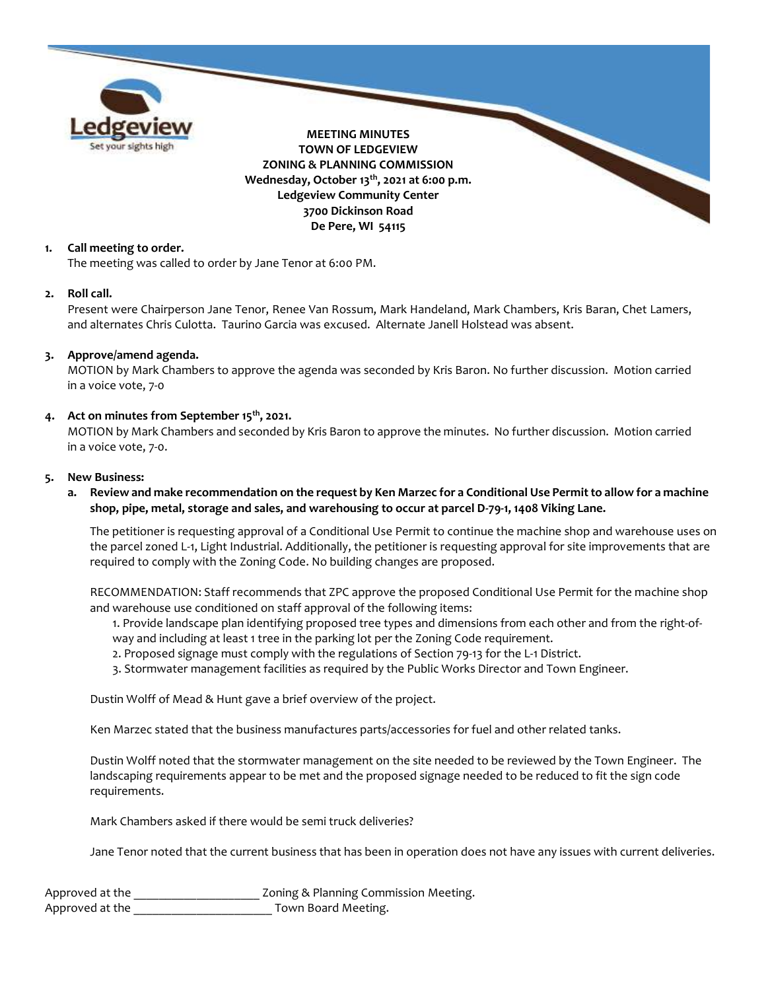

### 1. Call meeting to order.

The meeting was called to order by Jane Tenor at 6:00 PM.

#### 2. Roll call.

Present were Chairperson Jane Tenor, Renee Van Rossum, Mark Handeland, Mark Chambers, Kris Baran, Chet Lamers, and alternates Chris Culotta. Taurino Garcia was excused. Alternate Janell Holstead was absent.

### 3. Approve/amend agenda.

MOTION by Mark Chambers to approve the agenda was seconded by Kris Baron. No further discussion. Motion carried in a voice vote, 7-0

## 4. Act on minutes from September 15<sup>th</sup>, 2021.

MOTION by Mark Chambers and seconded by Kris Baron to approve the minutes. No further discussion. Motion carried in a voice vote, 7-0.

#### 5. New Business:

a. Review and make recommendation on the request by Ken Marzec for a Conditional Use Permit to allow for a machine shop, pipe, metal, storage and sales, and warehousing to occur at parcel D-79-1, 1408 Viking Lane.

The petitioner is requesting approval of a Conditional Use Permit to continue the machine shop and warehouse uses on the parcel zoned L-1, Light Industrial. Additionally, the petitioner is requesting approval for site improvements that are required to comply with the Zoning Code. No building changes are proposed.

RECOMMENDATION: Staff recommends that ZPC approve the proposed Conditional Use Permit for the machine shop and warehouse use conditioned on staff approval of the following items:

- 1. Provide landscape plan identifying proposed tree types and dimensions from each other and from the right-of-
- way and including at least 1 tree in the parking lot per the Zoning Code requirement.
- 2. Proposed signage must comply with the regulations of Section 79-13 for the L-1 District.
- 3. Stormwater management facilities as required by the Public Works Director and Town Engineer.

Dustin Wolff of Mead & Hunt gave a brief overview of the project.

Ken Marzec stated that the business manufactures parts/accessories for fuel and other related tanks.

Dustin Wolff noted that the stormwater management on the site needed to be reviewed by the Town Engineer. The landscaping requirements appear to be met and the proposed signage needed to be reduced to fit the sign code requirements.

Mark Chambers asked if there would be semi truck deliveries?

Jane Tenor noted that the current business that has been in operation does not have any issues with current deliveries.

| Approved at the | Zoning & Planning Commission Meeting. |
|-----------------|---------------------------------------|
| Approved at the | Town Board Meeting.                   |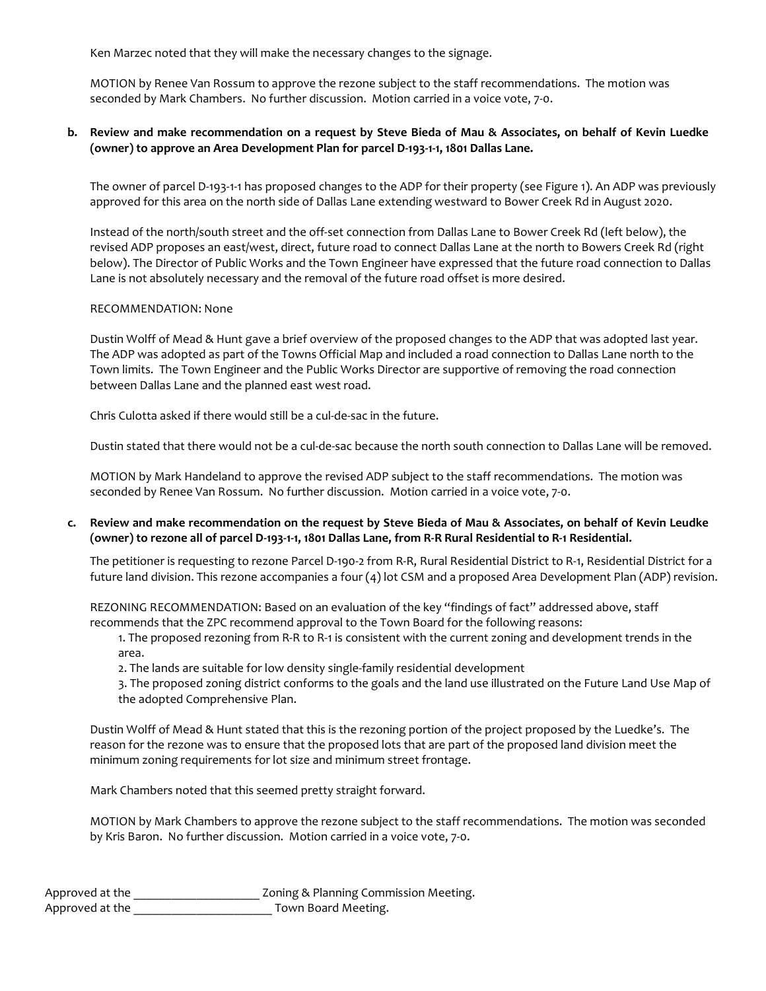Ken Marzec noted that they will make the necessary changes to the signage.

MOTION by Renee Van Rossum to approve the rezone subject to the staff recommendations. The motion was seconded by Mark Chambers. No further discussion. Motion carried in a voice vote, 7-0.

## b. Review and make recommendation on a request by Steve Bieda of Mau & Associates, on behalf of Kevin Luedke (owner) to approve an Area Development Plan for parcel D-193-1-1, 1801 Dallas Lane.

The owner of parcel D-193-1-1 has proposed changes to the ADP for their property (see Figure 1). An ADP was previously approved for this area on the north side of Dallas Lane extending westward to Bower Creek Rd in August 2020.

Instead of the north/south street and the off-set connection from Dallas Lane to Bower Creek Rd (left below), the revised ADP proposes an east/west, direct, future road to connect Dallas Lane at the north to Bowers Creek Rd (right below). The Director of Public Works and the Town Engineer have expressed that the future road connection to Dallas Lane is not absolutely necessary and the removal of the future road offset is more desired.

#### RECOMMENDATION: None

Dustin Wolff of Mead & Hunt gave a brief overview of the proposed changes to the ADP that was adopted last year. The ADP was adopted as part of the Towns Official Map and included a road connection to Dallas Lane north to the Town limits. The Town Engineer and the Public Works Director are supportive of removing the road connection between Dallas Lane and the planned east west road.

Chris Culotta asked if there would still be a cul-de-sac in the future.

Dustin stated that there would not be a cul-de-sac because the north south connection to Dallas Lane will be removed.

MOTION by Mark Handeland to approve the revised ADP subject to the staff recommendations. The motion was seconded by Renee Van Rossum. No further discussion. Motion carried in a voice vote, 7-0.

## c. Review and make recommendation on the request by Steve Bieda of Mau & Associates, on behalf of Kevin Leudke (owner) to rezone all of parcel D-193-1-1, 1801 Dallas Lane, from R-R Rural Residential to R-1 Residential.

The petitioner is requesting to rezone Parcel D-190-2 from R-R, Rural Residential District to R-1, Residential District for a future land division. This rezone accompanies a four (4) lot CSM and a proposed Area Development Plan (ADP) revision.

REZONING RECOMMENDATION: Based on an evaluation of the key "findings of fact" addressed above, staff recommends that the ZPC recommend approval to the Town Board for the following reasons:

1. The proposed rezoning from R-R to R-1 is consistent with the current zoning and development trends in the area.

2. The lands are suitable for low density single-family residential development

3. The proposed zoning district conforms to the goals and the land use illustrated on the Future Land Use Map of the adopted Comprehensive Plan.

Dustin Wolff of Mead & Hunt stated that this is the rezoning portion of the project proposed by the Luedke's. The reason for the rezone was to ensure that the proposed lots that are part of the proposed land division meet the minimum zoning requirements for lot size and minimum street frontage.

Mark Chambers noted that this seemed pretty straight forward.

MOTION by Mark Chambers to approve the rezone subject to the staff recommendations. The motion was seconded by Kris Baron. No further discussion. Motion carried in a voice vote, 7-0.

| Approved at the | Zoning & Planning Commission Meeting. |
|-----------------|---------------------------------------|
| Approved at the | Town Board Meeting.                   |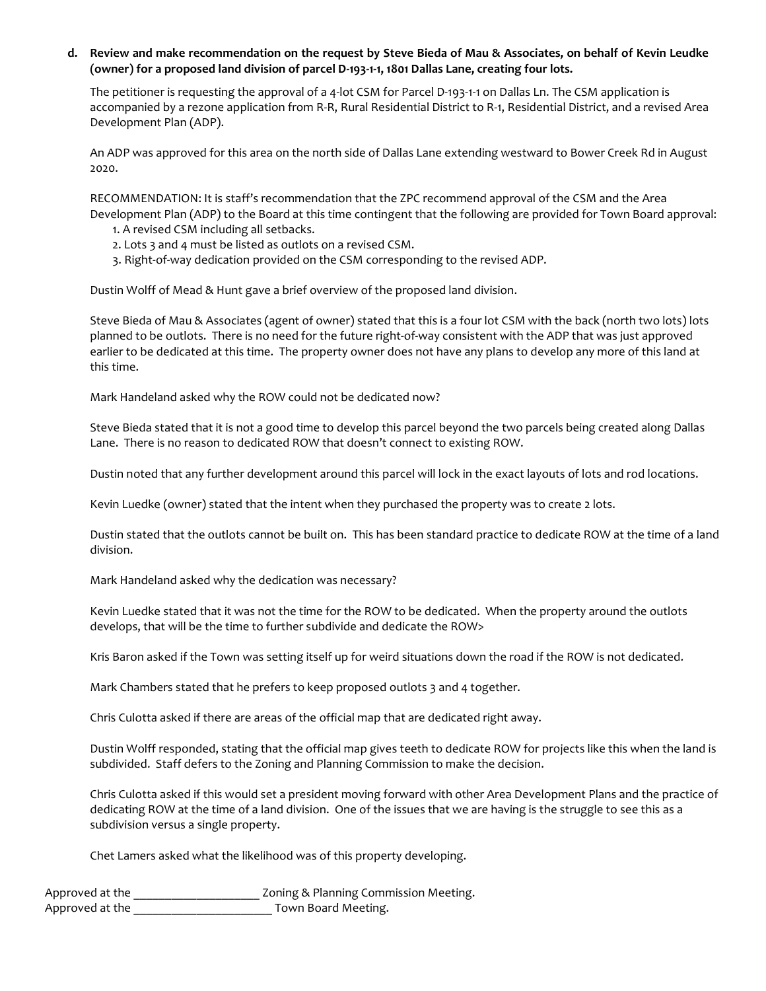d. Review and make recommendation on the request by Steve Bieda of Mau & Associates, on behalf of Kevin Leudke (owner) for a proposed land division of parcel D-193-1-1, 1801 Dallas Lane, creating four lots.

The petitioner is requesting the approval of a 4-lot CSM for Parcel D-193-1-1 on Dallas Ln. The CSM application is accompanied by a rezone application from R-R, Rural Residential District to R-1, Residential District, and a revised Area Development Plan (ADP).

An ADP was approved for this area on the north side of Dallas Lane extending westward to Bower Creek Rd in August 2020.

RECOMMENDATION: It is staff's recommendation that the ZPC recommend approval of the CSM and the Area Development Plan (ADP) to the Board at this time contingent that the following are provided for Town Board approval:

1. A revised CSM including all setbacks.

- 2. Lots 3 and 4 must be listed as outlots on a revised CSM.
- 3. Right-of-way dedication provided on the CSM corresponding to the revised ADP.

Dustin Wolff of Mead & Hunt gave a brief overview of the proposed land division.

Steve Bieda of Mau & Associates (agent of owner) stated that this is a four lot CSM with the back (north two lots) lots planned to be outlots. There is no need for the future right-of-way consistent with the ADP that was just approved earlier to be dedicated at this time. The property owner does not have any plans to develop any more of this land at this time.

Mark Handeland asked why the ROW could not be dedicated now?

Steve Bieda stated that it is not a good time to develop this parcel beyond the two parcels being created along Dallas Lane. There is no reason to dedicated ROW that doesn't connect to existing ROW.

Dustin noted that any further development around this parcel will lock in the exact layouts of lots and rod locations.

Kevin Luedke (owner) stated that the intent when they purchased the property was to create 2 lots.

Dustin stated that the outlots cannot be built on. This has been standard practice to dedicate ROW at the time of a land division.

Mark Handeland asked why the dedication was necessary?

Kevin Luedke stated that it was not the time for the ROW to be dedicated. When the property around the outlots develops, that will be the time to further subdivide and dedicate the ROW>

Kris Baron asked if the Town was setting itself up for weird situations down the road if the ROW is not dedicated.

Mark Chambers stated that he prefers to keep proposed outlots 3 and 4 together.

Chris Culotta asked if there are areas of the official map that are dedicated right away.

Dustin Wolff responded, stating that the official map gives teeth to dedicate ROW for projects like this when the land is subdivided. Staff defers to the Zoning and Planning Commission to make the decision.

Chris Culotta asked if this would set a president moving forward with other Area Development Plans and the practice of dedicating ROW at the time of a land division. One of the issues that we are having is the struggle to see this as a subdivision versus a single property.

Chet Lamers asked what the likelihood was of this property developing.

| Approved at the | Zoning & Planning Commission Meeting. |
|-----------------|---------------------------------------|
| Approved at the | Town Board Meeting.                   |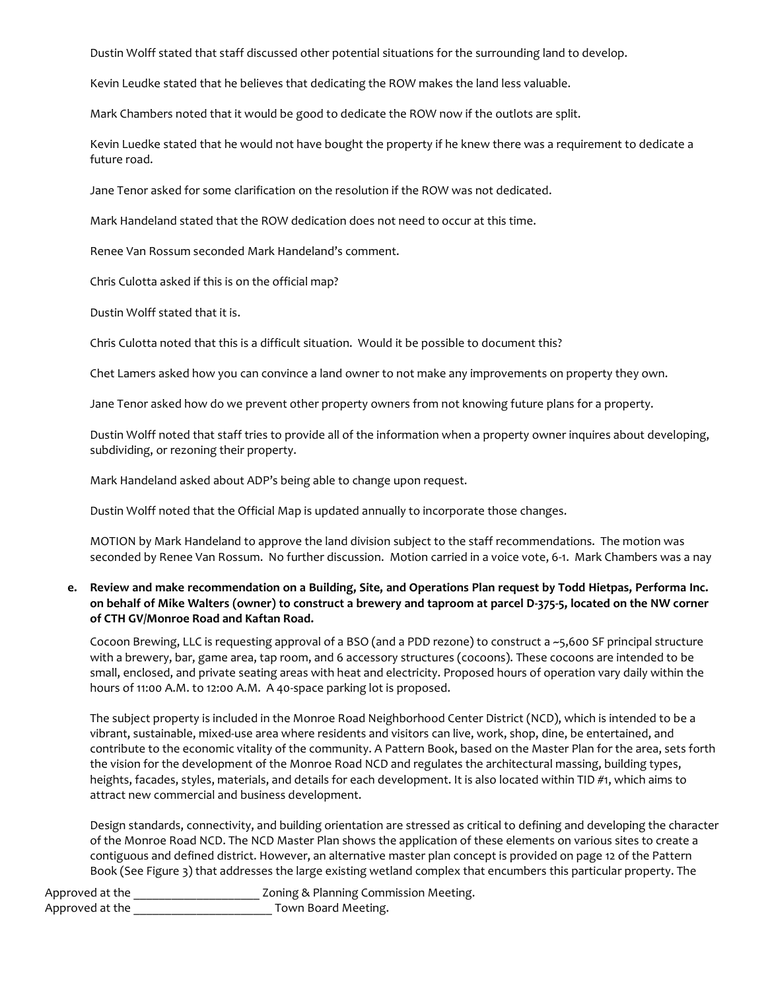Dustin Wolff stated that staff discussed other potential situations for the surrounding land to develop.

Kevin Leudke stated that he believes that dedicating the ROW makes the land less valuable.

Mark Chambers noted that it would be good to dedicate the ROW now if the outlots are split.

Kevin Luedke stated that he would not have bought the property if he knew there was a requirement to dedicate a future road.

Jane Tenor asked for some clarification on the resolution if the ROW was not dedicated.

Mark Handeland stated that the ROW dedication does not need to occur at this time.

Renee Van Rossum seconded Mark Handeland's comment.

Chris Culotta asked if this is on the official map?

Dustin Wolff stated that it is.

Chris Culotta noted that this is a difficult situation. Would it be possible to document this?

Chet Lamers asked how you can convince a land owner to not make any improvements on property they own.

Jane Tenor asked how do we prevent other property owners from not knowing future plans for a property.

Dustin Wolff noted that staff tries to provide all of the information when a property owner inquires about developing, subdividing, or rezoning their property.

Mark Handeland asked about ADP's being able to change upon request.

Dustin Wolff noted that the Official Map is updated annually to incorporate those changes.

MOTION by Mark Handeland to approve the land division subject to the staff recommendations. The motion was seconded by Renee Van Rossum. No further discussion. Motion carried in a voice vote, 6-1. Mark Chambers was a nay

## e. Review and make recommendation on a Building, Site, and Operations Plan request by Todd Hietpas, Performa Inc. on behalf of Mike Walters (owner) to construct a brewery and taproom at parcel D-375-5, located on the NW corner of CTH GV/Monroe Road and Kaftan Road.

Cocoon Brewing, LLC is requesting approval of a BSO (and a PDD rezone) to construct a ~5,600 SF principal structure with a brewery, bar, game area, tap room, and 6 accessory structures (cocoons). These cocoons are intended to be small, enclosed, and private seating areas with heat and electricity. Proposed hours of operation vary daily within the hours of 11:00 A.M. to 12:00 A.M. A 40-space parking lot is proposed.

The subject property is included in the Monroe Road Neighborhood Center District (NCD), which is intended to be a vibrant, sustainable, mixed-use area where residents and visitors can live, work, shop, dine, be entertained, and contribute to the economic vitality of the community. A Pattern Book, based on the Master Plan for the area, sets forth the vision for the development of the Monroe Road NCD and regulates the architectural massing, building types, heights, facades, styles, materials, and details for each development. It is also located within TID #1, which aims to attract new commercial and business development.

Design standards, connectivity, and building orientation are stressed as critical to defining and developing the character of the Monroe Road NCD. The NCD Master Plan shows the application of these elements on various sites to create a contiguous and defined district. However, an alternative master plan concept is provided on page 12 of the Pattern Book (See Figure 3) that addresses the large existing wetland complex that encumbers this particular property. The

Approved at the \_\_\_\_\_\_\_\_\_\_\_\_\_\_\_\_\_\_\_\_\_\_\_\_\_\_\_\_\_ Zoning & Planning Commission Meeting. Approved at the \_\_\_\_\_\_\_\_\_\_\_\_\_\_\_\_\_\_\_\_\_\_\_\_\_\_\_ Town Board Meeting.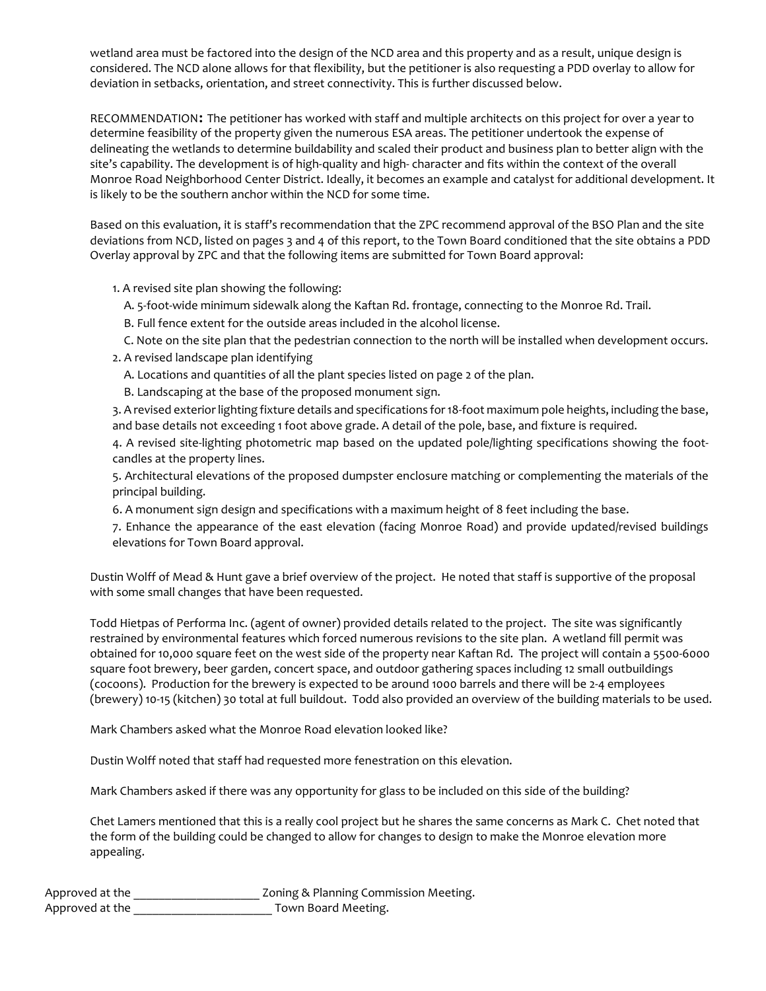wetland area must be factored into the design of the NCD area and this property and as a result, unique design is considered. The NCD alone allows for that flexibility, but the petitioner is also requesting a PDD overlay to allow for deviation in setbacks, orientation, and street connectivity. This is further discussed below.

RECOMMENDATION: The petitioner has worked with staff and multiple architects on this project for over a year to determine feasibility of the property given the numerous ESA areas. The petitioner undertook the expense of delineating the wetlands to determine buildability and scaled their product and business plan to better align with the site's capability. The development is of high-quality and high- character and fits within the context of the overall Monroe Road Neighborhood Center District. Ideally, it becomes an example and catalyst for additional development. It is likely to be the southern anchor within the NCD for some time.

Based on this evaluation, it is staff's recommendation that the ZPC recommend approval of the BSO Plan and the site deviations from NCD, listed on pages 3 and 4 of this report, to the Town Board conditioned that the site obtains a PDD Overlay approval by ZPC and that the following items are submitted for Town Board approval:

1. A revised site plan showing the following:

- A. 5-foot-wide minimum sidewalk along the Kaftan Rd. frontage, connecting to the Monroe Rd. Trail.
- B. Full fence extent for the outside areas included in the alcohol license.
- C. Note on the site plan that the pedestrian connection to the north will be installed when development occurs.
- 2. A revised landscape plan identifying
	- A. Locations and quantities of all the plant species listed on page 2 of the plan.
	- B. Landscaping at the base of the proposed monument sign.

3. A revised exterior lighting fixture details and specifications for 18-foot maximum pole heights, including the base, and base details not exceeding 1 foot above grade. A detail of the pole, base, and fixture is required.

4. A revised site-lighting photometric map based on the updated pole/lighting specifications showing the footcandles at the property lines.

5. Architectural elevations of the proposed dumpster enclosure matching or complementing the materials of the principal building.

6. A monument sign design and specifications with a maximum height of 8 feet including the base.

7. Enhance the appearance of the east elevation (facing Monroe Road) and provide updated/revised buildings elevations for Town Board approval.

Dustin Wolff of Mead & Hunt gave a brief overview of the project. He noted that staff is supportive of the proposal with some small changes that have been requested.

Todd Hietpas of Performa Inc. (agent of owner) provided details related to the project. The site was significantly restrained by environmental features which forced numerous revisions to the site plan. A wetland fill permit was obtained for 10,000 square feet on the west side of the property near Kaftan Rd. The project will contain a 5500-6000 square foot brewery, beer garden, concert space, and outdoor gathering spaces including 12 small outbuildings (cocoons). Production for the brewery is expected to be around 1000 barrels and there will be 2-4 employees (brewery) 10-15 (kitchen) 30 total at full buildout. Todd also provided an overview of the building materials to be used.

Mark Chambers asked what the Monroe Road elevation looked like?

Dustin Wolff noted that staff had requested more fenestration on this elevation.

Mark Chambers asked if there was any opportunity for glass to be included on this side of the building?

Chet Lamers mentioned that this is a really cool project but he shares the same concerns as Mark C. Chet noted that the form of the building could be changed to allow for changes to design to make the Monroe elevation more appealing.

| Approved at the | Zoning & Planning Commission Meeting. |
|-----------------|---------------------------------------|
| Approved at the | Town Board Meeting.                   |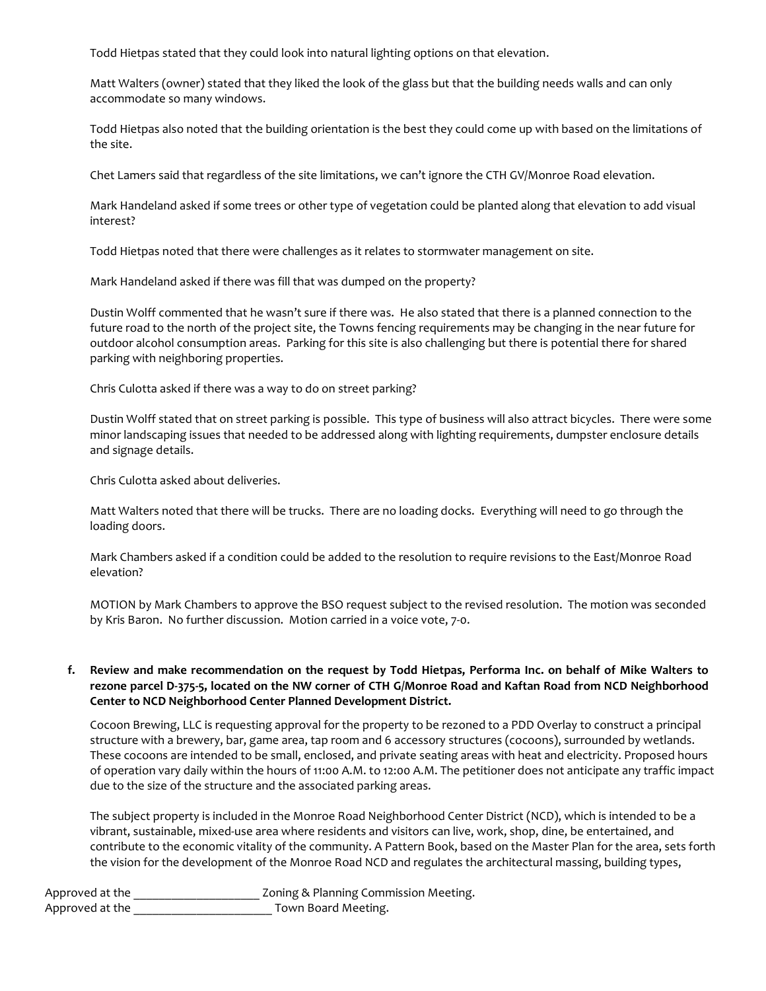Todd Hietpas stated that they could look into natural lighting options on that elevation.

Matt Walters (owner) stated that they liked the look of the glass but that the building needs walls and can only accommodate so many windows.

Todd Hietpas also noted that the building orientation is the best they could come up with based on the limitations of the site.

Chet Lamers said that regardless of the site limitations, we can't ignore the CTH GV/Monroe Road elevation.

Mark Handeland asked if some trees or other type of vegetation could be planted along that elevation to add visual interest?

Todd Hietpas noted that there were challenges as it relates to stormwater management on site.

Mark Handeland asked if there was fill that was dumped on the property?

Dustin Wolff commented that he wasn't sure if there was. He also stated that there is a planned connection to the future road to the north of the project site, the Towns fencing requirements may be changing in the near future for outdoor alcohol consumption areas. Parking for this site is also challenging but there is potential there for shared parking with neighboring properties.

Chris Culotta asked if there was a way to do on street parking?

Dustin Wolff stated that on street parking is possible. This type of business will also attract bicycles. There were some minor landscaping issues that needed to be addressed along with lighting requirements, dumpster enclosure details and signage details.

Chris Culotta asked about deliveries.

Matt Walters noted that there will be trucks. There are no loading docks. Everything will need to go through the loading doors.

Mark Chambers asked if a condition could be added to the resolution to require revisions to the East/Monroe Road elevation?

MOTION by Mark Chambers to approve the BSO request subject to the revised resolution. The motion was seconded by Kris Baron. No further discussion. Motion carried in a voice vote, 7-0.

## f. Review and make recommendation on the request by Todd Hietpas, Performa Inc. on behalf of Mike Walters to rezone parcel D-375-5, located on the NW corner of CTH G/Monroe Road and Kaftan Road from NCD Neighborhood Center to NCD Neighborhood Center Planned Development District.

Cocoon Brewing, LLC is requesting approval for the property to be rezoned to a PDD Overlay to construct a principal structure with a brewery, bar, game area, tap room and 6 accessory structures (cocoons), surrounded by wetlands. These cocoons are intended to be small, enclosed, and private seating areas with heat and electricity. Proposed hours of operation vary daily within the hours of 11:00 A.M. to 12:00 A.M. The petitioner does not anticipate any traffic impact due to the size of the structure and the associated parking areas.

The subject property is included in the Monroe Road Neighborhood Center District (NCD), which is intended to be a vibrant, sustainable, mixed-use area where residents and visitors can live, work, shop, dine, be entertained, and contribute to the economic vitality of the community. A Pattern Book, based on the Master Plan for the area, sets forth the vision for the development of the Monroe Road NCD and regulates the architectural massing, building types,

| Approved at the | Zoning & Planning Commission Meeting. |
|-----------------|---------------------------------------|
| Approved at the | Town Board Meeting.                   |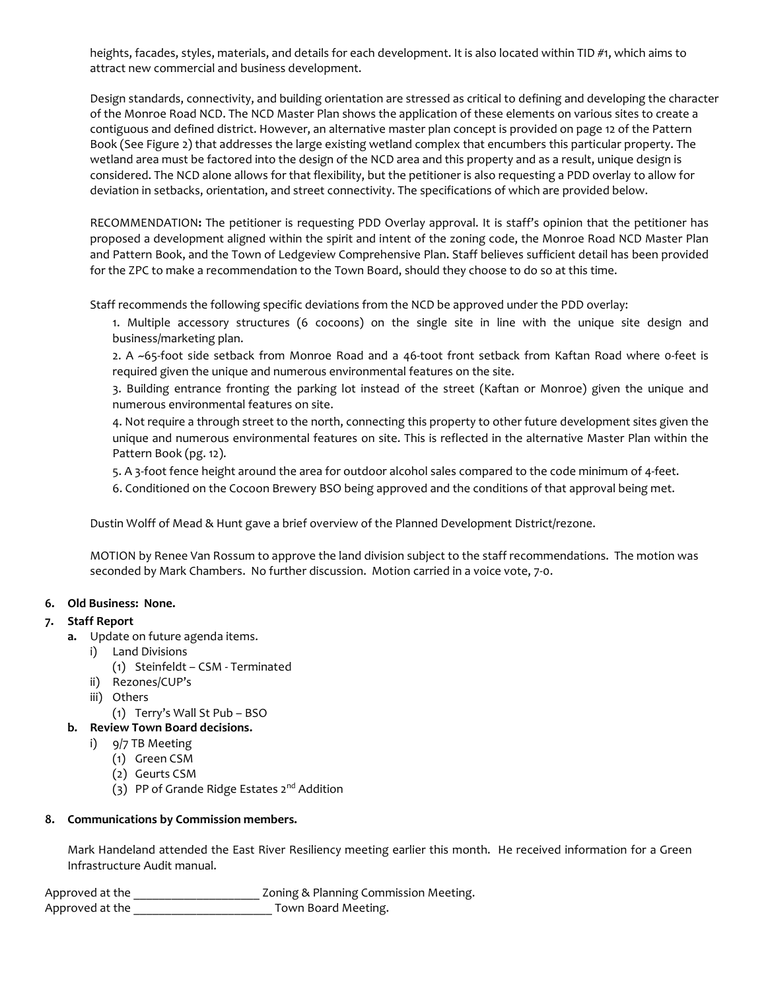heights, facades, styles, materials, and details for each development. It is also located within TID #1, which aims to attract new commercial and business development.

Design standards, connectivity, and building orientation are stressed as critical to defining and developing the character of the Monroe Road NCD. The NCD Master Plan shows the application of these elements on various sites to create a contiguous and defined district. However, an alternative master plan concept is provided on page 12 of the Pattern Book (See Figure 2) that addresses the large existing wetland complex that encumbers this particular property. The wetland area must be factored into the design of the NCD area and this property and as a result, unique design is considered. The NCD alone allows for that flexibility, but the petitioner is also requesting a PDD overlay to allow for deviation in setbacks, orientation, and street connectivity. The specifications of which are provided below.

RECOMMENDATION: The petitioner is requesting PDD Overlay approval. It is staff's opinion that the petitioner has proposed a development aligned within the spirit and intent of the zoning code, the Monroe Road NCD Master Plan and Pattern Book, and the Town of Ledgeview Comprehensive Plan. Staff believes sufficient detail has been provided for the ZPC to make a recommendation to the Town Board, should they choose to do so at this time.

Staff recommends the following specific deviations from the NCD be approved under the PDD overlay:

1. Multiple accessory structures (6 cocoons) on the single site in line with the unique site design and business/marketing plan.

2. A ~65-foot side setback from Monroe Road and a 46-toot front setback from Kaftan Road where 0-feet is required given the unique and numerous environmental features on the site.

3. Building entrance fronting the parking lot instead of the street (Kaftan or Monroe) given the unique and numerous environmental features on site.

4. Not require a through street to the north, connecting this property to other future development sites given the unique and numerous environmental features on site. This is reflected in the alternative Master Plan within the Pattern Book (pg. 12).

5. A 3-foot fence height around the area for outdoor alcohol sales compared to the code minimum of 4-feet.

6. Conditioned on the Cocoon Brewery BSO being approved and the conditions of that approval being met.

Dustin Wolff of Mead & Hunt gave a brief overview of the Planned Development District/rezone.

MOTION by Renee Van Rossum to approve the land division subject to the staff recommendations. The motion was seconded by Mark Chambers. No further discussion. Motion carried in a voice vote, 7-0.

### 6. Old Business: None.

## 7. Staff Report

- a. Update on future agenda items.
	- i) Land Divisions
		- (1) Steinfeldt CSM Terminated
	- ii) Rezones/CUP's
	- iii) Others
		- (1) Terry's Wall St Pub BSO

## b. Review Town Board decisions.

- i) 9/7 TB Meeting
	- (1) Green CSM
	- (2) Geurts CSM
	- (3) PP of Grande Ridge Estates 2<sup>nd</sup> Addition

## 8. Communications by Commission members.

Mark Handeland attended the East River Resiliency meeting earlier this month. He received information for a Green Infrastructure Audit manual.

Approved at the \_\_\_\_\_\_\_\_\_\_\_\_\_\_\_\_\_\_\_\_\_\_\_ Zoning & Planning Commission Meeting. Approved at the \_\_\_\_\_\_\_\_\_\_\_\_\_\_\_\_\_\_\_\_\_\_\_\_\_\_\_\_\_ Town Board Meeting.